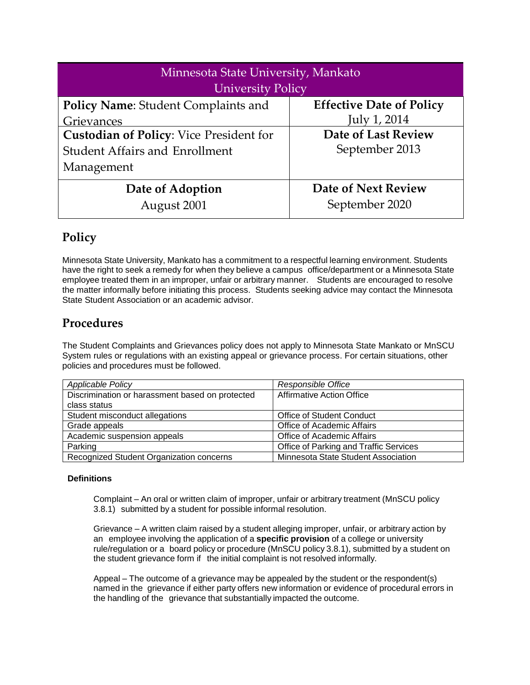| Minnesota State University, Mankato            |                                 |  |  |  |  |
|------------------------------------------------|---------------------------------|--|--|--|--|
| <b>University Policy</b>                       |                                 |  |  |  |  |
| <b>Policy Name: Student Complaints and</b>     | <b>Effective Date of Policy</b> |  |  |  |  |
| Grievances                                     | July 1, 2014                    |  |  |  |  |
| <b>Custodian of Policy: Vice President for</b> | <b>Date of Last Review</b>      |  |  |  |  |
| <b>Student Affairs and Enrollment</b>          | September 2013                  |  |  |  |  |
| Management                                     |                                 |  |  |  |  |
| Date of Adoption                               | Date of Next Review             |  |  |  |  |
| August 2001                                    | September 2020                  |  |  |  |  |

# **Policy**

Minnesota State University, Mankato has a commitment to a respectful learning environment. Students have the right to seek a remedy for when they believe a campus office/department or a Minnesota State employee treated them in an improper, unfair or arbitrary manner. Students are encouraged to resolve the matter informally before initiating this process. Students seeking advice may contact the Minnesota State Student Association or an academic advisor.

# **Procedures**

The Student Complaints and Grievances policy does not apply to Minnesota State Mankato or MnSCU System rules or regulations with an existing appeal or grievance process. For certain situations, other policies and procedures must be followed.

| <b>Applicable Policy</b>                        | Responsible Office                     |  |
|-------------------------------------------------|----------------------------------------|--|
| Discrimination or harassment based on protected | Affirmative Action Office              |  |
| class status                                    |                                        |  |
| Student misconduct allegations                  | <b>Office of Student Conduct</b>       |  |
| Grade appeals                                   | Office of Academic Affairs             |  |
| Academic suspension appeals                     | Office of Academic Affairs             |  |
| Parking                                         | Office of Parking and Traffic Services |  |
| Recognized Student Organization concerns        | Minnesota State Student Association    |  |

## **Definitions**

Complaint – An oral or written claim of improper, unfair or arbitrary treatment (MnSCU policy 3.8.1) submitted by a student for possible informal resolution.

Grievance – A written claim raised by a student alleging improper, unfair, or arbitrary action by an employee involving the application of a **specific provision** of a college or university rule/regulation or a board policy or procedure (MnSCU policy 3.8.1), submitted by a student on the student grievance form if the initial complaint is not resolved informally.

Appeal – The outcome of a grievance may be appealed by the student or the respondent(s) named in the grievance if either party offers new information or evidence of procedural errors in the handling of the grievance that substantially impacted the outcome.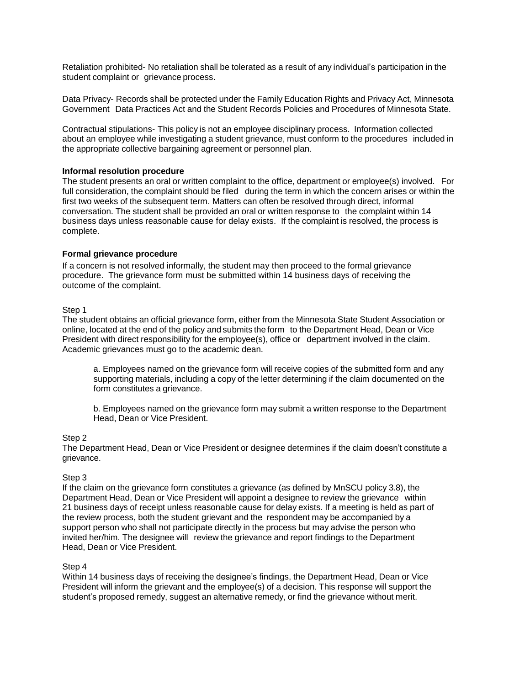Retaliation prohibited- No retaliation shall be tolerated as a result of any individual's participation in the student complaint or grievance process.

Data Privacy- Records shall be protected under the Family Education Rights and Privacy Act, Minnesota Government Data Practices Act and the Student Records Policies and Procedures of Minnesota State.

Contractual stipulations- This policy is not an employee disciplinary process. Information collected about an employee while investigating a student grievance, must conform to the procedures included in the appropriate collective bargaining agreement or personnel plan.

### **Informal resolution procedure**

The student presents an oral or written complaint to the office, department or employee(s) involved. For full consideration, the complaint should be filed during the term in which the concern arises or within the first two weeks of the subsequent term. Matters can often be resolved through direct, informal conversation. The student shall be provided an oral or written response to the complaint within 14 business days unless reasonable cause for delay exists. If the complaint is resolved, the process is complete.

### **Formal grievance procedure**

If a concern is not resolved informally, the student may then proceed to the formal grievance procedure. The grievance form must be submitted within 14 business days of receiving the outcome of the complaint.

### Step 1

The student obtains an official grievance form, either from the Minnesota State Student Association or online, located at the end of the policy and submits the form to the Department Head, Dean or Vice President with direct responsibility for the employee(s), office or department involved in the claim. Academic grievances must go to the academic dean.

a. Employees named on the grievance form will receive copies of the submitted form and any supporting materials, including a copy of the letter determining if the claim documented on the form constitutes a grievance.

b. Employees named on the grievance form may submit a written response to the Department Head, Dean or Vice President.

#### Step 2

The Department Head, Dean or Vice President or designee determines if the claim doesn't constitute a grievance.

#### Step 3

If the claim on the grievance form constitutes a grievance (as defined by MnSCU policy 3.8), the Department Head, Dean or Vice President will appoint a designee to review the grievance within 21 business days of receipt unless reasonable cause for delay exists. If a meeting is held as part of the review process, both the student grievant and the respondent may be accompanied by a support person who shall not participate directly in the process but may advise the person who invited her/him. The designee will review the grievance and report findings to the Department Head, Dean or Vice President.

#### Step 4

Within 14 business days of receiving the designee's findings, the Department Head, Dean or Vice President will inform the grievant and the employee(s) of a decision. This response will support the student's proposed remedy, suggest an alternative remedy, or find the grievance without merit.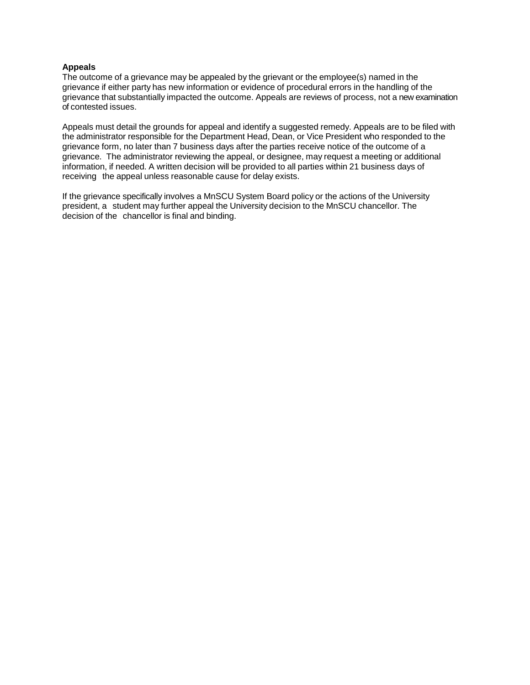### **Appeals**

The outcome of a grievance may be appealed by the grievant or the employee(s) named in the grievance if either party has new information or evidence of procedural errors in the handling of the grievance that substantially impacted the outcome. Appeals are reviews of process, not a new examination of contested issues.

Appeals must detail the grounds for appeal and identify a suggested remedy. Appeals are to be filed with the administrator responsible for the Department Head, Dean, or Vice President who responded to the grievance form, no later than 7 business days after the parties receive notice of the outcome of a grievance. The administrator reviewing the appeal, or designee, may request a meeting or additional information, if needed. A written decision will be provided to all parties within 21 business days of receiving the appeal unless reasonable cause for delay exists.

If the grievance specifically involves a MnSCU System Board policy or the actions of the University president, a student may further appeal the University decision to the MnSCU chancellor. The decision of the chancellor is final and binding.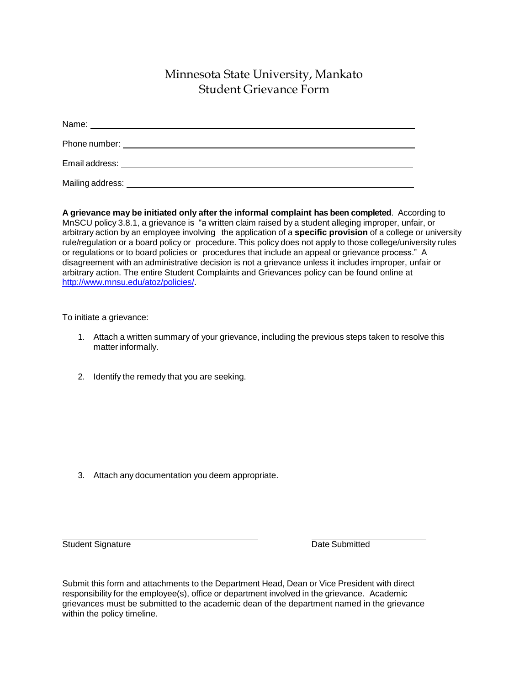# Minnesota State University, Mankato Student Grievance Form

| Email address: The contract of the contract of the contract of the contract of the contract of the contract of the contract of the contract of the contract of the contract of the contract of the contract of the contract of |  |  |  |
|--------------------------------------------------------------------------------------------------------------------------------------------------------------------------------------------------------------------------------|--|--|--|
| Mailing address:                                                                                                                                                                                                               |  |  |  |

**A grievance may be initiated only after the informal complaint has been completed**. According to MnSCU policy 3.8.1, a grievance is "a written claim raised by a student alleging improper, unfair, or arbitrary action by an employee involving the application of a **specific provision** of a college or university rule/regulation or a board policy or procedure. This policy does not apply to those college/university rules or regulations or to board policies or procedures that include an appeal or grievance process." A disagreement with an administrative decision is not a grievance unless it includes improper, unfair or arbitrary action. The entire Student Complaints and Grievances policy can be found online at [http://www.mnsu.edu/atoz/policies/.](http://www.mnsu.edu/atoz/policies/)

To initiate a grievance:

- 1. Attach a written summary of your grievance, including the previous steps taken to resolve this matter informally.
- 2. Identify the remedy that you are seeking.

3. Attach any documentation you deem appropriate.

**Student Signature Date Submitted Date Submitted** 

Submit this form and attachments to the Department Head, Dean or Vice President with direct responsibility for the employee(s), office or department involved in the grievance. Academic grievances must be submitted to the academic dean of the department named in the grievance within the policy timeline.